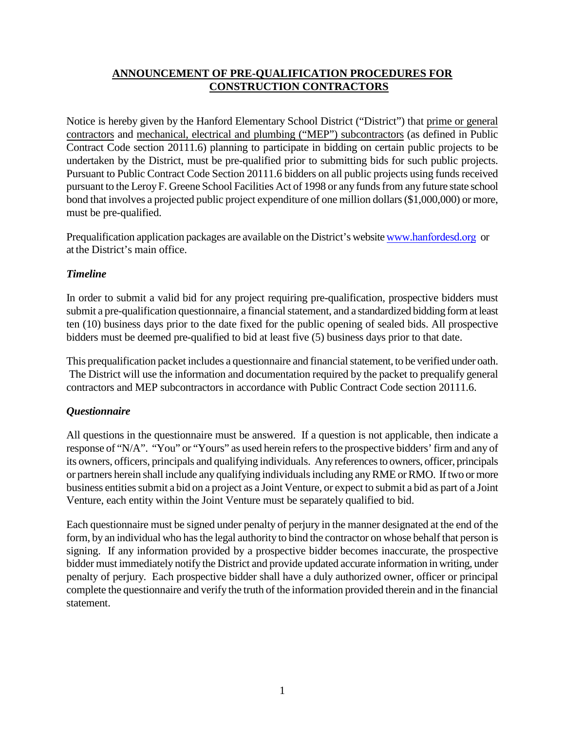# **ANNOUNCEMENT OF PRE-QUALIFICATION PROCEDURES FOR CONSTRUCTION CONTRACTORS**

Notice is hereby given by the Hanford Elementary School District ("District") that prime or general contractors and mechanical, electrical and plumbing ("MEP") subcontractors (as defined in Public Contract Code section 20111.6) planning to participate in bidding on certain public projects to be undertaken by the District, must be pre-qualified prior to submitting bids for such public projects. Pursuant to Public Contract Code Section 20111.6 bidders on all public projects using funds received pursuant to the Leroy F. Greene School Facilities Act of 1998 or any funds from any future state school bond that involves a projected public project expenditure of one million dollars (\$1,000,000) or more, must be pre-qualified.

Prequalification application packages are available on the District's website [www.h](http://www.hesd.k12.ca.us/)anfordesd.org or at the District's main office.

#### *Timeline*

In order to submit a valid bid for any project requiring pre-qualification, prospective bidders must submit a pre-qualification questionnaire, a financial statement, and a standardized bidding form at least ten (10) business days prior to the date fixed for the public opening of sealed bids. All prospective bidders must be deemed pre-qualified to bid at least five (5) business days prior to that date.

This prequalification packet includes a questionnaire and financial statement, to be verified under oath. The District will use the information and documentation required by the packet to prequalify general contractors and MEP subcontractors in accordance with Public Contract Code section 20111.6.

# *Questionnaire*

All questions in the questionnaire must be answered. If a question is not applicable, then indicate a response of "N/A". "You" or "Yours" as used herein refers to the prospective bidders' firm and any of its owners, officers, principals and qualifying individuals. Any references to owners, officer, principals or partners herein shall include any qualifying individuals including any RME or RMO. If two or more business entities submit a bid on a project as a Joint Venture, or expect to submit a bid as part of a Joint Venture, each entity within the Joint Venture must be separately qualified to bid.

Each questionnaire must be signed under penalty of perjury in the manner designated at the end of the form, by an individual who has the legal authority to bind the contractor on whose behalf that person is signing. If any information provided by a prospective bidder becomes inaccurate, the prospective bidder must immediately notify the District and provide updated accurate information in writing, under penalty of perjury. Each prospective bidder shall have a duly authorized owner, officer or principal complete the questionnaire and verify the truth of the information provided therein and in the financial statement.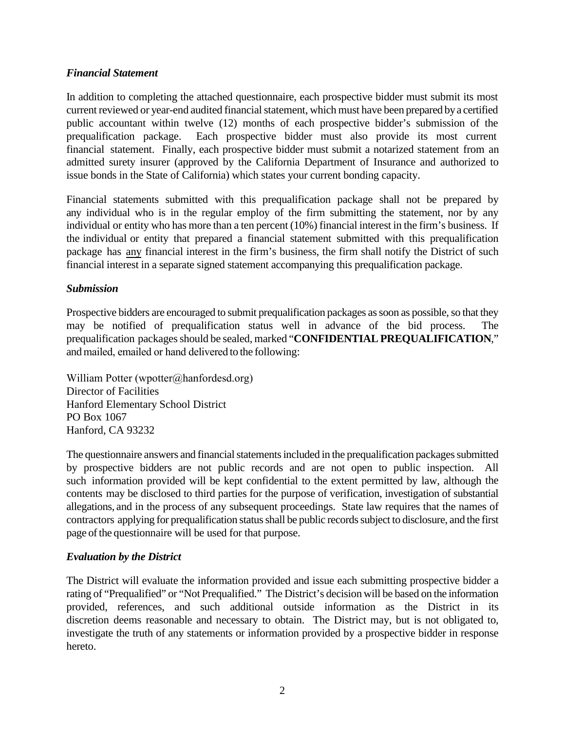#### *Financial Statement*

In addition to completing the attached questionnaire, each prospective bidder must submit its most current reviewed or year-end audited financial statement, which must have been prepared by a certified public accountant within twelve (12) months of each prospective bidder's submission of the prequalification package. Each prospective bidder must also provide its most current financial statement. Finally, each prospective bidder must submit a notarized statement from an admitted surety insurer (approved by the California Department of Insurance and authorized to issue bonds in the State of California) which states your current bonding capacity.

Financial statements submitted with this prequalification package shall not be prepared by any individual who is in the regular employ of the firm submitting the statement, nor by any individual or entity who has more than a ten percent (10%) financial interest in the firm's business. If the individual or entity that prepared a financial statement submitted with this prequalification package has any financial interest in the firm's business, the firm shall notify the District of such financial interest in a separate signed statement accompanying this prequalification package.

#### *Submission*

Prospective bidders are encouraged to submit prequalification packages as soon as possible, so that they may be notified of prequalification status well in advance of the bid process. The prequalification packages should be sealed, marked "**CONFIDENTIAL PREQUALIFICATION**," and mailed, emailed or hand delivered to the following:

William Potter (wpotter@hanfordesd.org) Director of Facilities Hanford Elementary School District PO Box 1067 Hanford, CA 93232

The questionnaire answers and financial statements included in the prequalification packages submitted by prospective bidders are not public records and are not open to public inspection. All such information provided will be kept confidential to the extent permitted by law, although the contents may be disclosed to third parties for the purpose of verification, investigation of substantial allegations, and in the process of any subsequent proceedings. State law requires that the names of contractors applying for prequalification status shall be public records subject to disclosure, and the first page of the questionnaire will be used for that purpose.

#### *Evaluation by the District*

The District will evaluate the information provided and issue each submitting prospective bidder a rating of "Prequalified" or "Not Prequalified." The District's decision will be based on the information provided, references, and such additional outside information as the District in its discretion deems reasonable and necessary to obtain. The District may, but is not obligated to, investigate the truth of any statements or information provided by a prospective bidder in response hereto.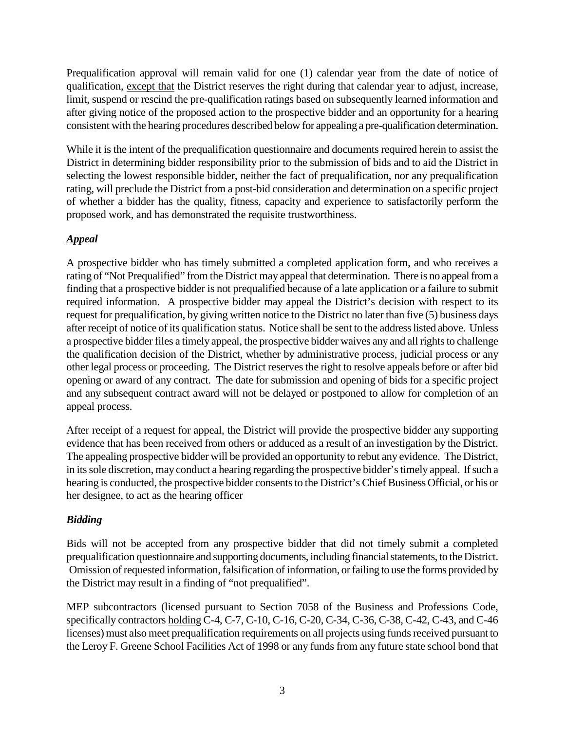Prequalification approval will remain valid for one (1) calendar year from the date of notice of qualification, except that the District reserves the right during that calendar year to adjust, increase, limit, suspend or rescind the pre-qualification ratings based on subsequently learned information and after giving notice of the proposed action to the prospective bidder and an opportunity for a hearing consistent with the hearing procedures described below for appealing a pre-qualification determination.

While it is the intent of the prequalification questionnaire and documents required herein to assist the District in determining bidder responsibility prior to the submission of bids and to aid the District in selecting the lowest responsible bidder, neither the fact of prequalification, nor any prequalification rating, will preclude the District from a post-bid consideration and determination on a specific project of whether a bidder has the quality, fitness, capacity and experience to satisfactorily perform the proposed work, and has demonstrated the requisite trustworthiness.

# *Appeal*

A prospective bidder who has timely submitted a completed application form, and who receives a rating of "Not Prequalified" from the District may appeal that determination. There is no appeal from a finding that a prospective bidder is not prequalified because of a late application or a failure to submit required information. A prospective bidder may appeal the District's decision with respect to its request for prequalification, by giving written notice to the District no later than five (5) business days after receipt of notice of its qualification status. Notice shall be sent to the address listed above. Unless a prospective bidder files a timely appeal, the prospective bidder waives any and all rights to challenge the qualification decision of the District, whether by administrative process, judicial process or any other legal process or proceeding. The District reserves the right to resolve appeals before or after bid opening or award of any contract. The date for submission and opening of bids for a specific project and any subsequent contract award will not be delayed or postponed to allow for completion of an appeal process.

After receipt of a request for appeal, the District will provide the prospective bidder any supporting evidence that has been received from others or adduced as a result of an investigation by the District. The appealing prospective bidder will be provided an opportunity to rebut any evidence. The District, in its sole discretion, may conduct a hearing regarding the prospective bidder's timely appeal. If such a hearing is conducted, the prospective bidder consents to the District's Chief Business Official, or his or her designee, to act as the hearing officer

# *Bidding*

Bids will not be accepted from any prospective bidder that did not timely submit a completed prequalification questionnaire and supporting documents, including financial statements, to the District. Omission of requested information, falsification of information, or failing to use the forms provided by the District may result in a finding of "not prequalified".

MEP subcontractors (licensed pursuant to Section 7058 of the Business and Professions Code, specifically contractors holding C-4, C-7, C-10, C-16, C-20, C-34, C-36, C-38, C-42, C-43, and C-46 licenses) must also meet prequalification requirements on all projects using funds received pursuant to the Leroy F. Greene School Facilities Act of 1998 or any funds from any future state school bond that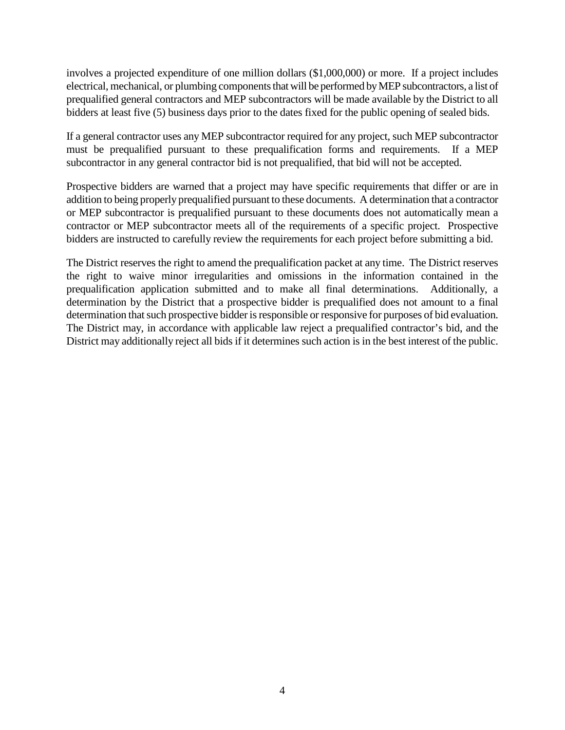involves a projected expenditure of one million dollars (\$1,000,000) or more. If a project includes electrical, mechanical, or plumbing components that will be performed by MEP subcontractors, a list of prequalified general contractors and MEP subcontractors will be made available by the District to all bidders at least five (5) business days prior to the dates fixed for the public opening of sealed bids.

If a general contractor uses any MEP subcontractor required for any project, such MEP subcontractor must be prequalified pursuant to these prequalification forms and requirements. If a MEP subcontractor in any general contractor bid is not prequalified, that bid will not be accepted.

Prospective bidders are warned that a project may have specific requirements that differ or are in addition to being properly prequalified pursuant to these documents. A determination that a contractor or MEP subcontractor is prequalified pursuant to these documents does not automatically mean a contractor or MEP subcontractor meets all of the requirements of a specific project. Prospective bidders are instructed to carefully review the requirements for each project before submitting a bid.

The District reserves the right to amend the prequalification packet at any time. The District reserves the right to waive minor irregularities and omissions in the information contained in the prequalification application submitted and to make all final determinations. Additionally, a determination by the District that a prospective bidder is prequalified does not amount to a final determination that such prospective bidder is responsible or responsive for purposes of bid evaluation. The District may, in accordance with applicable law reject a prequalified contractor's bid, and the District may additionally reject all bids if it determines such action is in the best interest of the public.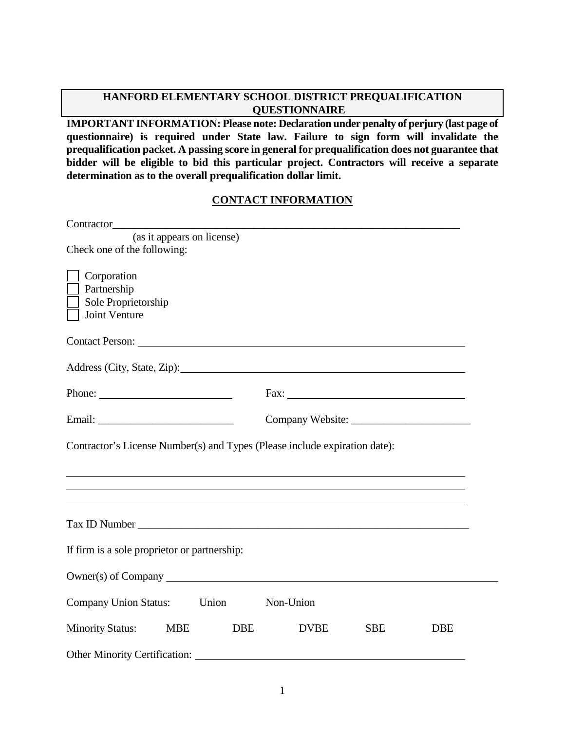**IMPORTANT INFORMATION: Please note: Declaration under penalty of perjury (last page of questionnaire) is required under State law. Failure to sign form will invalidate the prequalification packet. A passing score in general for prequalification does not guarantee that bidder will be eligible to bid this particular project. Contractors will receive a separate determination as to the overall prequalification dollar limit.** 

#### **CONTACT INFORMATION**

| (as it appears on license)                                                                                                                                                                                                     |                           |            |            |  |
|--------------------------------------------------------------------------------------------------------------------------------------------------------------------------------------------------------------------------------|---------------------------|------------|------------|--|
| Check one of the following:                                                                                                                                                                                                    |                           |            |            |  |
| Corporation<br>Partnership<br>Sole Proprietorship<br>Joint Venture                                                                                                                                                             |                           |            |            |  |
| Contact Person: Lawrence Contact Person:                                                                                                                                                                                       |                           |            |            |  |
| Address (City, State, Zip):                                                                                                                                                                                                    |                           |            |            |  |
|                                                                                                                                                                                                                                |                           |            |            |  |
|                                                                                                                                                                                                                                |                           |            |            |  |
| Contractor's License Number(s) and Types (Please include expiration date):                                                                                                                                                     |                           |            |            |  |
|                                                                                                                                                                                                                                |                           |            |            |  |
|                                                                                                                                                                                                                                |                           |            |            |  |
| Tax ID Number 1988 and 1988 and 1988 and 1988 and 1988 and 1988 and 1988 and 1988 and 1988 and 1988 and 1988 and 1988 and 1988 and 1988 and 1988 and 1988 and 1988 and 1988 and 1988 and 1988 and 1988 and 1988 and 1988 and 1 |                           |            |            |  |
| If firm is a sole proprietor or partnership:                                                                                                                                                                                   |                           |            |            |  |
|                                                                                                                                                                                                                                |                           |            |            |  |
| Company Union Status: Union                                                                                                                                                                                                    | Non-Union                 |            |            |  |
| <b>Minority Status:</b><br><b>MBE</b>                                                                                                                                                                                          | <b>DBE</b><br><b>DVBE</b> | <b>SBE</b> | <b>DBE</b> |  |
| <b>Other Minority Certification:</b>                                                                                                                                                                                           |                           |            |            |  |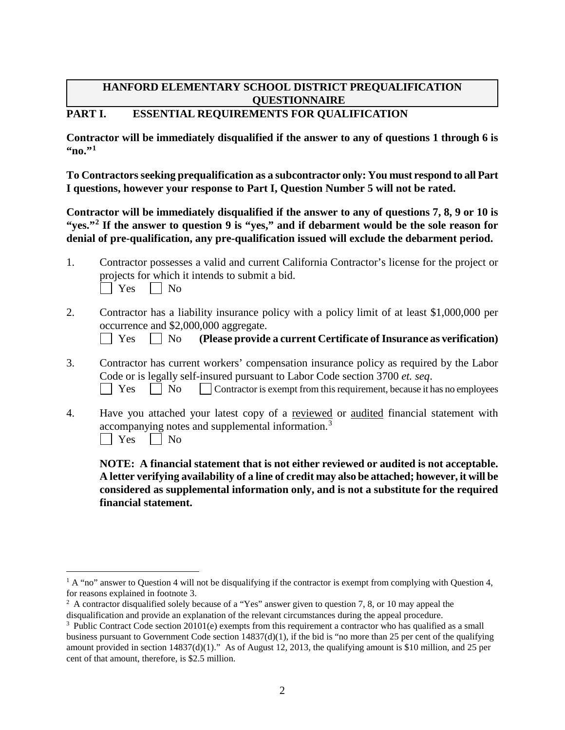# **PART I. ESSENTIAL REQUIREMENTS FOR QUALIFICATION**

**Contractor will be immediately disqualified if the answer to any of questions 1 through 6 is**   $\cdot$ <sup>[1](#page-5-0)</sup> $\cdot$ <sup>1</sup>

**To Contractors seeking prequalification as a subcontractor only: You must respond to all Part I questions, however your response to Part I, Question Number 5 will not be rated.**

**Contractor will be immediately disqualified if the answer to any of questions 7, 8, 9 or 10 is "yes."[2](#page-5-1) If the answer to question 9 is "yes," and if debarment would be the sole reason for denial of pre-qualification, any pre-qualification issued will exclude the debarment period.** 

| Contractor possesses a valid and current California Contractor's license for the project or |
|---------------------------------------------------------------------------------------------|
| projects for which it intends to submit a bid.                                              |
| $\Box$ Yes $\Box$ No                                                                        |

2. Contractor has a liability insurance policy with a policy limit of at least \$1,000,000 per occurrence and \$2,000,000 aggregate.

Yes No **(Please provide a current Certificate of Insurance as verification)**

- 3. Contractor has current workers' compensation insurance policy as required by the Labor Code or is legally self-insured pursuant to Labor Code section 3700 *et. seq*.  $\Box$  Yes  $\Box$  No  $\Box$  Contractor is exempt from this requirement, because it has no employees
- 4. Have you attached your latest copy of a reviewed or audited financial statement with accompanying notes and supplemental information.<sup>[3](#page-5-2)</sup>  $\vert$  | Yes | | No

**NOTE: A financial statement that is not either reviewed or audited is not acceptable. A letter verifying availability of a line of credit may also be attached; however, it will be considered as supplemental information only, and is not a substitute for the required financial statement.**

<span id="page-5-0"></span> $1 \text{ A }$  "no" answer to Question 4 will not be disqualifying if the contractor is exempt from complying with Question 4, for reasons explained in footnote 3.

<span id="page-5-1"></span><sup>&</sup>lt;sup>2</sup> A contractor disqualified solely because of a "Yes" answer given to question 7, 8, or 10 may appeal the disqualification and provide an explanation of the relevant circumstances during the appeal procedure.

<span id="page-5-2"></span><sup>&</sup>lt;sup>3</sup> Public Contract Code section 20101(e) exempts from this requirement a contractor who has qualified as a small business pursuant to Government Code section  $14837(d)(1)$ , if the bid is "no more than 25 per cent of the qualifying amount provided in section 14837(d)(1)." As of August 12, 2013, the qualifying amount is \$10 million, and 25 per cent of that amount, therefore, is \$2.5 million.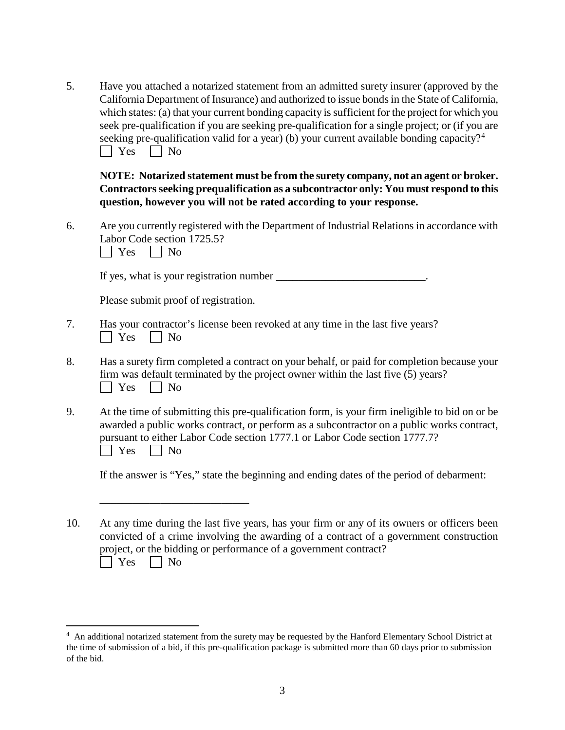5. Have you attached a notarized statement from an admitted surety insurer (approved by the California Department of Insurance) and authorized to issue bonds in the State of California, which states: (a) that your current bonding capacity is sufficient for the project for which you seek pre-qualification if you are seeking pre-qualification for a single project; or (if you are seeking pre-qualification valid for a year) (b) your current available bonding capacity?<sup>[4](#page-6-0)</sup>  $\Box$  Yes  $\Box$  No

**NOTE: Notarized statement must be from the surety company, not an agent or broker. Contractors seeking prequalification as a subcontractor only: You must respond to this question, however you will not be rated according to your response.** 

6. Are you currently registered with the Department of Industrial Relations in accordance with Labor Code section 1725.5?

 $\Box$  Yes  $\Box$  No

If yes, what is your registration number  $\Box$ 

Please submit proof of registration.

\_\_\_\_\_\_\_\_\_\_\_\_\_\_\_\_\_\_\_\_\_\_\_\_\_\_\_

- 7. Has your contractor's license been revoked at any time in the last five years?  $\Box$  Yes  $\Box$  No
- 8. Has a surety firm completed a contract on your behalf, or paid for completion because your firm was default terminated by the project owner within the last five (5) years?  $|$   $|$  Yes  $|$   $|$  No
- 9. At the time of submitting this pre-qualification form, is your firm ineligible to bid on or be awarded a public works contract, or perform as a subcontractor on a public works contract, pursuant to either Labor Code section 1777.1 or Labor Code section 1777.7?  $\Box$  Yes  $\Box$  No

If the answer is "Yes," state the beginning and ending dates of the period of debarment:

10. At any time during the last five years, has your firm or any of its owners or officers been convicted of a crime involving the awarding of a contract of a government construction project, or the bidding or performance of a government contract?  $\bigcap$  Yes  $\bigcap$  No

<span id="page-6-0"></span> $\frac{1}{4}$ An additional notarized statement from the surety may be requested by the Hanford Elementary School District at the time of submission of a bid, if this pre-qualification package is submitted more than 60 days prior to submission of the bid.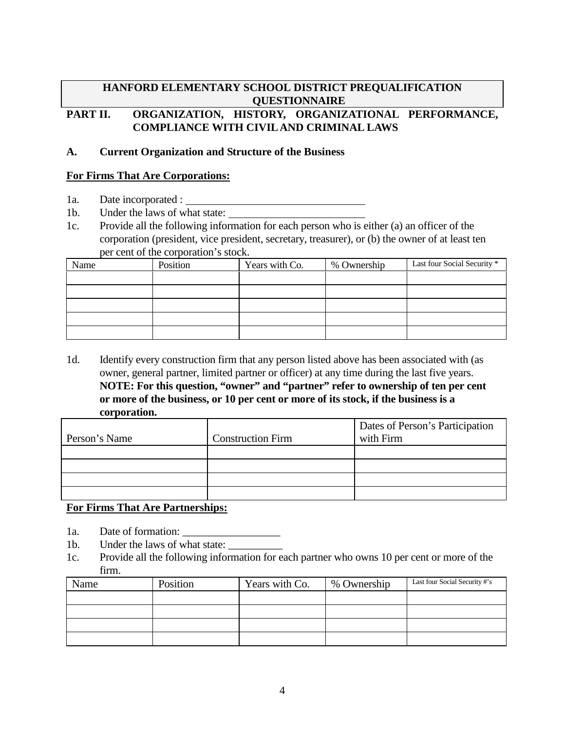# **PART II. ORGANIZATION, HISTORY, ORGANIZATIONAL PERFORMANCE, COMPLIANCE WITH CIVIL AND CRIMINAL LAWS**

#### **A. Current Organization and Structure of the Business**

#### **For Firms That Are Corporations:**

- 1a. Date incorporated :
- 1b. Under the laws of what state:
- 1c. Provide all the following information for each person who is either (a) an officer of the corporation (president, vice president, secretary, treasurer), or (b) the owner of at least ten per cent of the corporation's stock.

| Name | Position | Years with Co. | % Ownership | Last four Social Security * |
|------|----------|----------------|-------------|-----------------------------|
|      |          |                |             |                             |
|      |          |                |             |                             |
|      |          |                |             |                             |
|      |          |                |             |                             |
|      |          |                |             |                             |

1d. Identify every construction firm that any person listed above has been associated with (as owner, general partner, limited partner or officer) at any time during the last five years. **NOTE: For this question, "owner" and "partner" refer to ownership of ten per cent or more of the business, or 10 per cent or more of its stock, if the business is a corporation.** 

|               |                          | Dates of Person's Participation |
|---------------|--------------------------|---------------------------------|
| Person's Name | <b>Construction Firm</b> | with Firm                       |
|               |                          |                                 |
|               |                          |                                 |
|               |                          |                                 |
|               |                          |                                 |

# **For Firms That Are Partnerships:**

- 1a. Date of formation:
- 1b. Under the laws of what state:
- 1c. Provide all the following information for each partner who owns 10 per cent or more of the firm.

| Name | Position | Years with Co. | % Ownership | Last four Social Security #'s |
|------|----------|----------------|-------------|-------------------------------|
|      |          |                |             |                               |
|      |          |                |             |                               |
|      |          |                |             |                               |
|      |          |                |             |                               |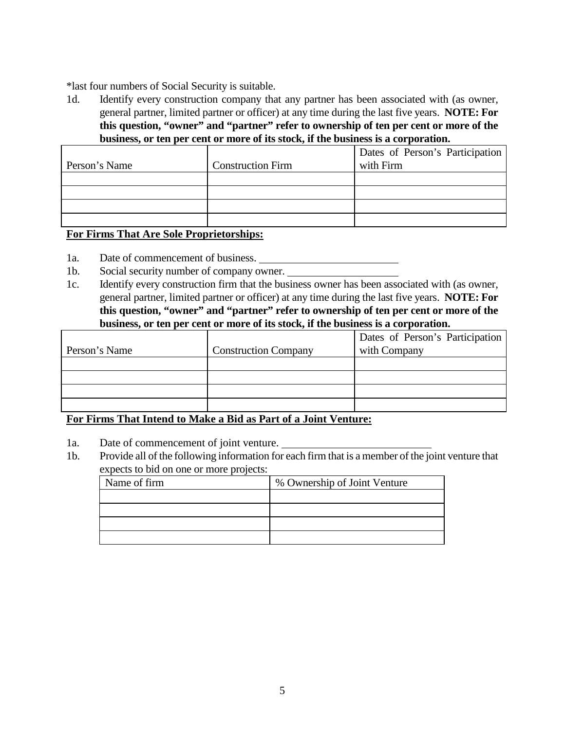\*last four numbers of Social Security is suitable.

1d. Identify every construction company that any partner has been associated with (as owner, general partner, limited partner or officer) at any time during the last five years. **NOTE: For this question, "owner" and "partner" refer to ownership of ten per cent or more of the business, or ten per cent or more of its stock, if the business is a corporation.** 

| Person's Name | <b>Construction Firm</b> | Dates of Person's Participation<br>with Firm |
|---------------|--------------------------|----------------------------------------------|
|               |                          |                                              |
|               |                          |                                              |
|               |                          |                                              |
|               |                          |                                              |

#### **For Firms That Are Sole Proprietorships:**

- 1a. Date of commencement of business.
- 1b. Social security number of company owner.
- 1c. Identify every construction firm that the business owner has been associated with (as owner, general partner, limited partner or officer) at any time during the last five years. **NOTE: For this question, "owner" and "partner" refer to ownership of ten per cent or more of the business, or ten per cent or more of its stock, if the business is a corporation.**

|               |                             | Dates of Person's Participation |
|---------------|-----------------------------|---------------------------------|
| Person's Name | <b>Construction Company</b> | with Company                    |
|               |                             |                                 |
|               |                             |                                 |
|               |                             |                                 |
|               |                             |                                 |

#### **For Firms That Intend to Make a Bid as Part of a Joint Venture:**

- 1a. Date of commencement of joint venture.
- 1b. Provide all of the following information for each firm that is a member of the joint venture that expects to bid on one or more projects:

| Name of firm | % Ownership of Joint Venture |
|--------------|------------------------------|
|              |                              |
|              |                              |
|              |                              |
|              |                              |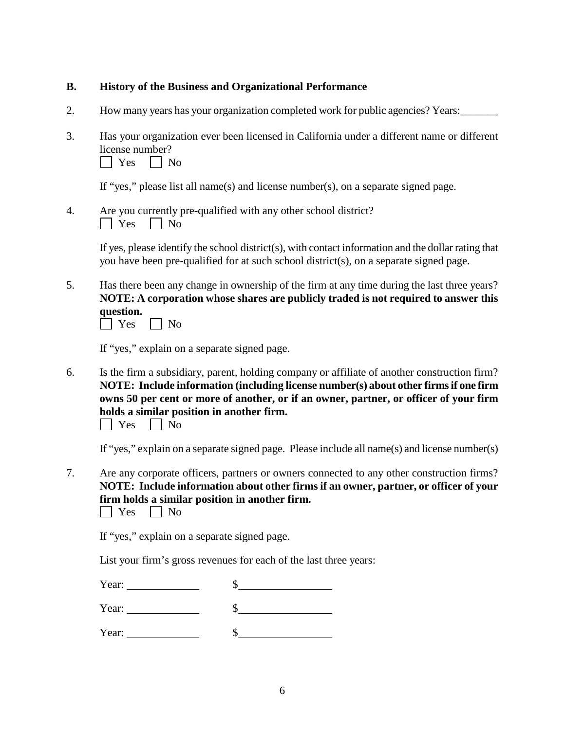#### **B. History of the Business and Organizational Performance**

- 2. How many years has your organization completed work for public agencies? Years:
- 3. Has your organization ever been licensed in California under a different name or different license number?  $\Box$  Yes  $\Box$  No

If "yes," please list all name(s) and license number(s), on a separate signed page.

4. Are you currently pre-qualified with any other school district?  $\Box$  Yes  $\Box$  No

> If yes, please identify the school district(s), with contact information and the dollar rating that you have been pre-qualified for at such school district(s), on a separate signed page.

5. Has there been any change in ownership of the firm at any time during the last three years? **NOTE: A corporation whose shares are publicly traded is not required to answer this question.**

| $\sim$ |  | า<br>м<br>ı |
|--------|--|-------------|
|--------|--|-------------|

If "yes," explain on a separate signed page.

6. Is the firm a subsidiary, parent, holding company or affiliate of another construction firm? **NOTE: Include information (including license number(s) about other firms if one firm owns 50 per cent or more of another, or if an owner, partner, or officer of your firm holds a similar position in another firm.**

|  | $\sim$ |  | N٥ |
|--|--------|--|----|
|--|--------|--|----|

If "yes," explain on a separate signed page. Please include all name(s) and license number(s)

7. Are any corporate officers, partners or owners connected to any other construction firms? **NOTE: Include information about other firms if an owner, partner, or officer of your firm holds a similar position in another firm.**  $\Box$  Yes  $\Box$  No

If "yes," explain on a separate signed page.

List your firm's gross revenues for each of the last three years:

| Year: |  |
|-------|--|
| Year: |  |

Year:  $\qquad \qquad$  \$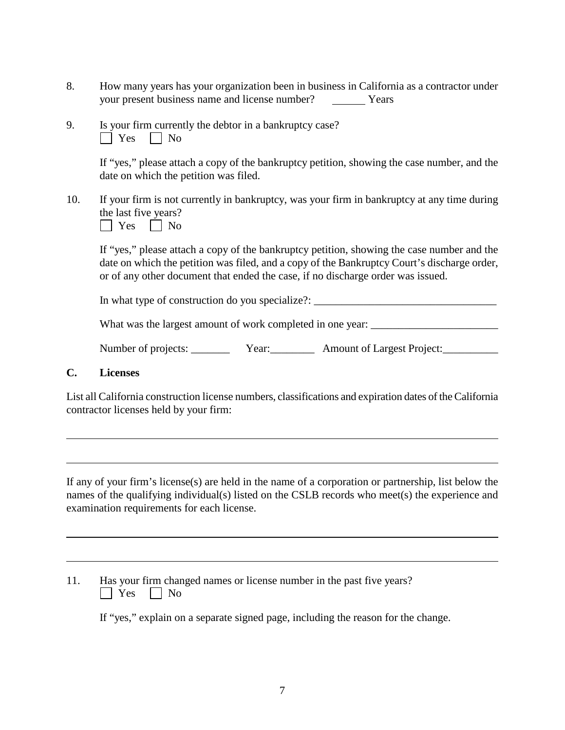- 8. How many years has your organization been in business in California as a contractor under your present business name and license number? Years
- 9. Is your firm currently the debtor in a bankruptcy case?  $\Box$  Yes  $\Box$  No

If "yes," please attach a copy of the bankruptcy petition, showing the case number, and the date on which the petition was filed.

10. If your firm is not currently in bankruptcy, was your firm in bankruptcy at any time during the last five years?



If "yes," please attach a copy of the bankruptcy petition, showing the case number and the date on which the petition was filed, and a copy of the Bankruptcy Court's discharge order, or of any other document that ended the case, if no discharge order was issued.

In what type of construction do you specialize?:

What was the largest amount of work completed in one year: \_\_\_\_\_\_\_\_\_\_\_\_\_\_\_\_\_\_\_\_\_

| Number of projects: | Year: | <b>Amount of Largest Project:</b> |
|---------------------|-------|-----------------------------------|
|                     |       |                                   |

#### **C. Licenses**

List all California construction license numbers, classifications and expiration dates of the California contractor licenses held by your firm:

If any of your firm's license(s) are held in the name of a corporation or partnership, list below the names of the qualifying individual(s) listed on the CSLB records who meet(s) the experience and examination requirements for each license.

| 11. | Has your firm changed names or license number in the past five years? |
|-----|-----------------------------------------------------------------------|
|     | $\Box$ Yes $\Box$ No                                                  |

If "yes," explain on a separate signed page, including the reason for the change.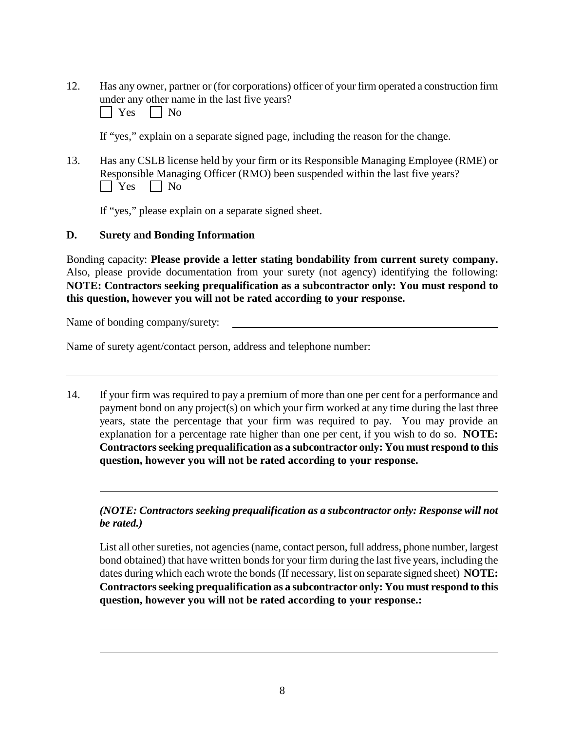12. Has any owner, partner or (for corporations) officer of your firm operated a construction firm under any other name in the last five years?  $\Box$  Yes  $\Box$  No

If "yes," explain on a separate signed page, including the reason for the change.

13. Has any CSLB license held by your firm or its Responsible Managing Employee (RME) or Responsible Managing Officer (RMO) been suspended within the last five years?  $\Box$  Yes  $\Box$  No

If "yes," please explain on a separate signed sheet.

#### **D. Surety and Bonding Information**

Bonding capacity: **Please provide a letter stating bondability from current surety company.** Also, please provide documentation from your surety (not agency) identifying the following: **NOTE: Contractors seeking prequalification as a subcontractor only: You must respond to this question, however you will not be rated according to your response.**

Name of bonding company/surety:

Name of surety agent/contact person, address and telephone number:

14. If your firm was required to pay a premium of more than one per cent for a performance and payment bond on any project(s) on which your firm worked at any time during the last three years, state the percentage that your firm was required to pay. You may provide an explanation for a percentage rate higher than one per cent, if you wish to do so. **NOTE: Contractors seeking prequalification as a subcontractor only: You must respond to this question, however you will not be rated according to your response.**

#### *(NOTE: Contractors seeking prequalification as a subcontractor only: Response will not be rated.)*

List all other sureties, not agencies (name, contact person, full address, phone number, largest bond obtained) that have written bonds for your firm during the last five years, including the dates during which each wrote the bonds (If necessary, list on separate signed sheet) **NOTE: Contractors seeking prequalification as a subcontractor only: You must respond to this question, however you will not be rated according to your response.:**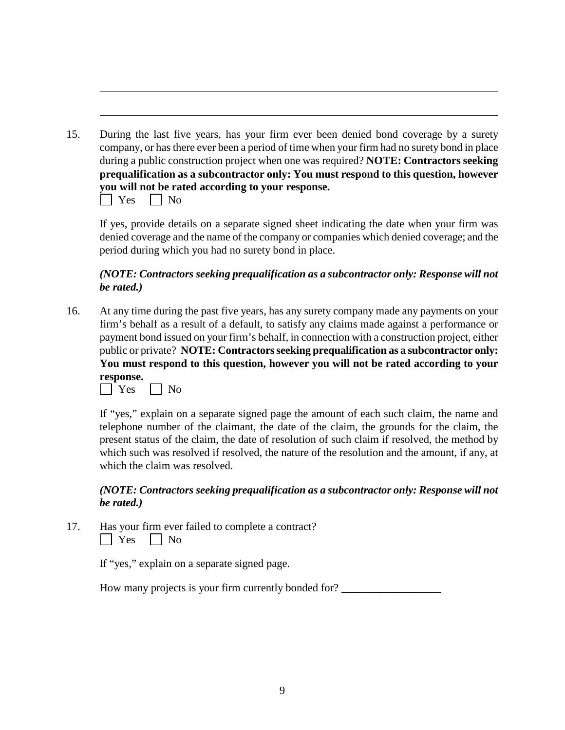15. During the last five years, has your firm ever been denied bond coverage by a surety company, or has there ever been a period of time when your firm had no surety bond in place during a public construction project when one was required? **NOTE: Contractors seeking prequalification as a subcontractor only: You must respond to this question, however you will not be rated according to your response.**  $\Box$  Yes  $\Box$  No

If yes, provide details on a separate signed sheet indicating the date when your firm was denied coverage and the name of the company or companies which denied coverage; and the period during which you had no surety bond in place.

#### *(NOTE: Contractors seeking prequalification as a subcontractor only: Response will not be rated.)*

16. At any time during the past five years, has any surety company made any payments on your firm's behalf as a result of a default, to satisfy any claims made against a performance or payment bond issued on your firm's behalf, in connection with a construction project, either public or private? **NOTE: Contractors seeking prequalification as a subcontractor only: You must respond to this question, however you will not be rated according to your response.**

| ∼<br>يمانس |  |
|------------|--|

If "yes," explain on a separate signed page the amount of each such claim, the name and telephone number of the claimant, the date of the claim, the grounds for the claim, the present status of the claim, the date of resolution of such claim if resolved, the method by which such was resolved if resolved, the nature of the resolution and the amount, if any, at which the claim was resolved.

#### *(NOTE: Contractors seeking prequalification as a subcontractor only: Response will not be rated.)*

17. Has your firm ever failed to complete a contract?  $\Box$  Yes  $\Box$  No

If "yes," explain on a separate signed page.

How many projects is your firm currently bonded for? \_\_\_\_\_\_\_\_\_\_\_\_\_\_\_\_\_\_\_\_\_\_\_\_\_\_\_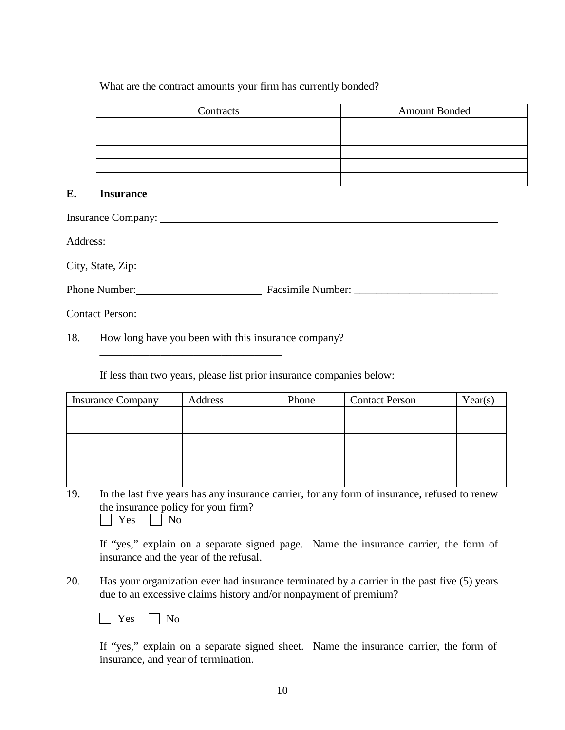#### What are the contract amounts your firm has currently bonded?

|          | Contracts         | <b>Amount Bonded</b> |  |
|----------|-------------------|----------------------|--|
|          |                   |                      |  |
|          |                   |                      |  |
|          |                   |                      |  |
|          |                   |                      |  |
|          |                   |                      |  |
| E.       | <b>Insurance</b>  |                      |  |
|          |                   |                      |  |
| Address: |                   |                      |  |
|          | City, State, Zip: |                      |  |
|          |                   |                      |  |
|          | Contact Person:   |                      |  |

18. How long have you been with this insurance company?

\_\_\_\_\_\_\_\_\_\_\_\_\_\_\_\_\_\_\_\_\_\_\_\_\_\_\_\_\_\_\_\_\_

If less than two years, please list prior insurance companies below:

| <b>Insurance Company</b> | Address | Phone | <b>Contact Person</b> | Year(s) |
|--------------------------|---------|-------|-----------------------|---------|
|                          |         |       |                       |         |
|                          |         |       |                       |         |
|                          |         |       |                       |         |
|                          |         |       |                       |         |
|                          |         |       |                       |         |
|                          |         |       |                       |         |

19. In the last five years has any insurance carrier, for any form of insurance, refused to renew the insurance policy for your firm?  $\Box$  Yes  $\Box$  No

If "yes," explain on a separate signed page. Name the insurance carrier, the form of insurance and the year of the refusal.

20. Has your organization ever had insurance terminated by a carrier in the past five (5) years due to an excessive claims history and/or nonpayment of premium?

 $\Box$  Yes  $\Box$  No

If "yes," explain on a separate signed sheet. Name the insurance carrier, the form of insurance, and year of termination.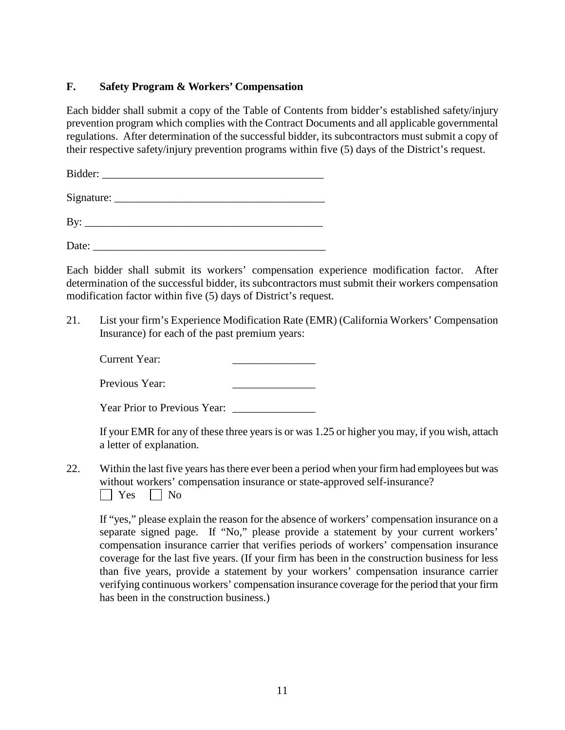## **F. Safety Program & Workers' Compensation**

Each bidder shall submit a copy of the Table of Contents from bidder's established safety/injury prevention program which complies with the Contract Documents and all applicable governmental regulations. After determination of the successful bidder, its subcontractors must submit a copy of their respective safety/injury prevention programs within five (5) days of the District's request.

Bidder:

 $Signature:$ 

By: \_\_\_\_\_\_\_\_\_\_\_\_\_\_\_\_\_\_\_\_\_\_\_\_\_\_\_\_\_\_\_\_\_\_\_\_\_\_\_\_\_\_\_

Date:

Each bidder shall submit its workers' compensation experience modification factor. After determination of the successful bidder, its subcontractors must submit their workers compensation modification factor within five (5) days of District's request.

21. List your firm's Experience Modification Rate (EMR) (California Workers' Compensation Insurance) for each of the past premium years:

Current Year:

Previous Year:

Year Prior to Previous Year:

If your EMR for any of these three years is or was 1.25 or higher you may, if you wish, attach a letter of explanation.

22. Within the last five years has there ever been a period when your firm had employees but was without workers' compensation insurance or state-approved self-insurance?  $\Box$  Yes  $\Box$  No

If "yes," please explain the reason for the absence of workers' compensation insurance on a separate signed page. If "No," please provide a statement by your current workers' compensation insurance carrier that verifies periods of workers' compensation insurance coverage for the last five years. (If your firm has been in the construction business for less than five years, provide a statement by your workers' compensation insurance carrier verifying continuous workers' compensation insurance coverage for the period that your firm has been in the construction business.)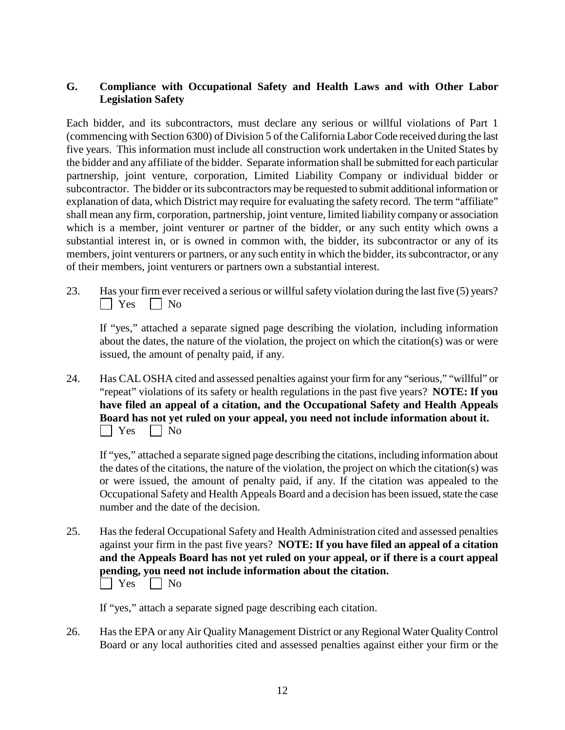## **G. Compliance with Occupational Safety and Health Laws and with Other Labor Legislation Safety**

Each bidder, and its subcontractors, must declare any serious or willful violations of Part 1 (commencing with Section 6300) of Division 5 of the California Labor Code received during the last five years. This information must include all construction work undertaken in the United States by the bidder and any affiliate of the bidder. Separate information shall be submitted for each particular partnership, joint venture, corporation, Limited Liability Company or individual bidder or subcontractor. The bidder or its subcontractors may be requested to submit additional information or explanation of data, which District may require for evaluating the safety record. The term "affiliate" shall mean any firm, corporation, partnership, joint venture, limited liability company or association which is a member, joint venturer or partner of the bidder, or any such entity which owns a substantial interest in, or is owned in common with, the bidder, its subcontractor or any of its members, joint venturers or partners, or any such entity in which the bidder, its subcontractor, or any of their members, joint venturers or partners own a substantial interest.

23. Has your firm ever received a serious or willful safety violation during the last five (5) years?  $\Box$  Yes  $\Box$  No

If "yes," attached a separate signed page describing the violation, including information about the dates, the nature of the violation, the project on which the citation(s) was or were issued, the amount of penalty paid, if any.

24. Has CAL OSHA cited and assessed penalties against your firm for any "serious," "willful" or "repeat" violations of its safety or health regulations in the past five years? **NOTE: If you have filed an appeal of a citation, and the Occupational Safety and Health Appeals Board has not yet ruled on your appeal, you need not include information about it.**  $\Box$  Yes  $\Box$  No

If "yes," attached a separate signed page describing the citations, including information about the dates of the citations, the nature of the violation, the project on which the citation(s) was or were issued, the amount of penalty paid, if any. If the citation was appealed to the Occupational Safety and Health Appeals Board and a decision has been issued, state the case number and the date of the decision.

25. Has the federal Occupational Safety and Health Administration cited and assessed penalties against your firm in the past five years? **NOTE: If you have filed an appeal of a citation and the Appeals Board has not yet ruled on your appeal, or if there is a court appeal pending, you need not include information about the citation.**  $\Box$  Yes  $\Box$  No

If "yes," attach a separate signed page describing each citation.

26. Has the EPA or any Air Quality Management District or any Regional Water Quality Control Board or any local authorities cited and assessed penalties against either your firm or the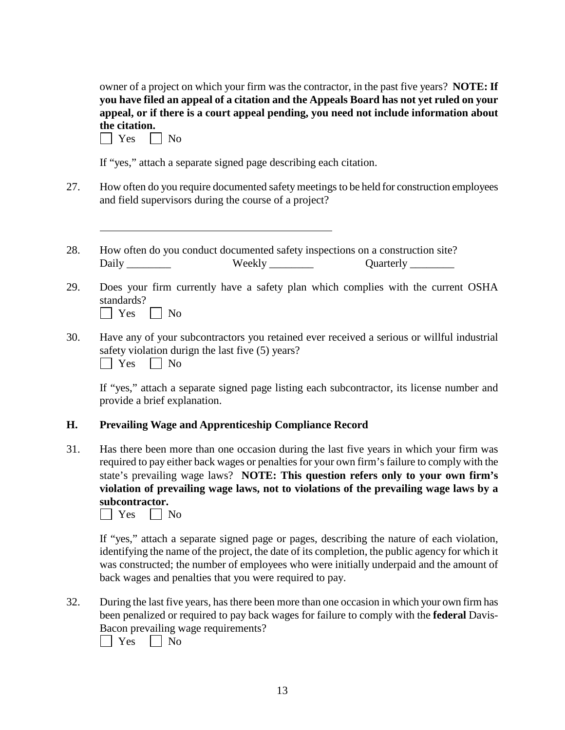owner of a project on which your firm was the contractor, in the past five years? **NOTE: If you have filed an appeal of a citation and the Appeals Board has not yet ruled on your appeal, or if there is a court appeal pending, you need not include information about the citation.**

| $\sim$<br>- 1 |  | No |
|---------------|--|----|
|---------------|--|----|

If "yes," attach a separate signed page describing each citation.

- 27. How often do you require documented safety meetings to be held for construction employees and field supervisors during the course of a project?
- 28. How often do you conduct documented safety inspections on a construction site? Daily **Example 2** Weekly **Example 2** Ouarterly **Example 2** Ouarterly 2
- 29. Does your firm currently have a safety plan which complies with the current OSHA standards?  $\Box$  Yes  $\Box$  No
- 30. Have any of your subcontractors you retained ever received a serious or willful industrial safety violation durign the last five (5) years?<br>  $\Box$  Yes  $\Box$  No  $\Box$  No

If "yes," attach a separate signed page listing each subcontractor, its license number and provide a brief explanation.

#### **H. Prevailing Wage and Apprenticeship Compliance Record**

31. Has there been more than one occasion during the last five years in which your firm was required to pay either back wages or penalties for your own firm's failure to comply with the state's prevailing wage laws? **NOTE: This question refers only to your own firm's violation of prevailing wage laws, not to violations of the prevailing wage laws by a subcontractor.** 

 $\Box$  Yes  $\Box$  No

If "yes," attach a separate signed page or pages, describing the nature of each violation, identifying the name of the project, the date of its completion, the public agency for which it was constructed; the number of employees who were initially underpaid and the amount of back wages and penalties that you were required to pay.

32. During the last five years, has there been more than one occasion in which your own firm has been penalized or required to pay back wages for failure to comply with the **federal** Davis-Bacon prevailing wage requirements?

 $\Box$  Yes  $\Box$  No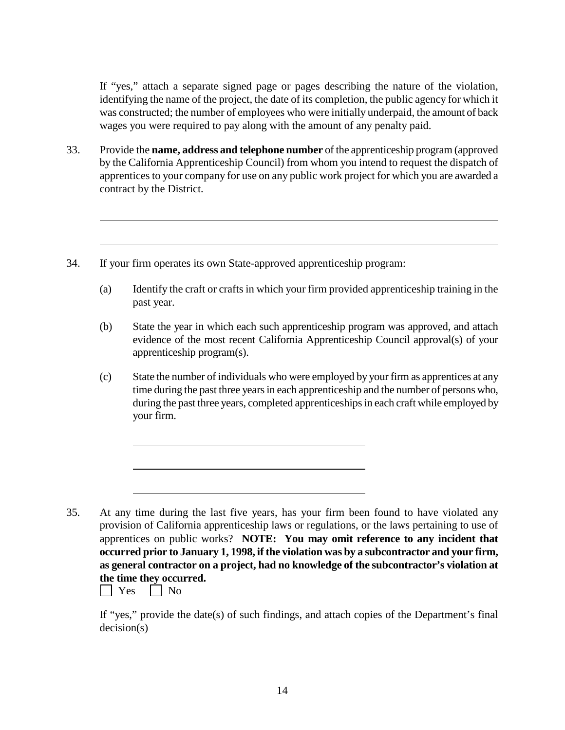If "yes," attach a separate signed page or pages describing the nature of the violation, identifying the name of the project, the date of its completion, the public agency for which it was constructed; the number of employees who were initially underpaid, the amount of back wages you were required to pay along with the amount of any penalty paid.

33. Provide the **name, address and telephone number** of the apprenticeship program (approved by the California Apprenticeship Council) from whom you intend to request the dispatch of apprentices to your company for use on any public work project for which you are awarded a contract by the District*.*

34. If your firm operates its own State-approved apprenticeship program:

- (a) Identify the craft or crafts in which your firm provided apprenticeship training in the past year.
- (b) State the year in which each such apprenticeship program was approved, and attach evidence of the most recent California Apprenticeship Council approval(s) of your apprenticeship program(s).
- (c) State the number of individuals who were employed by your firm as apprentices at any time during the past three years in each apprenticeship and the number of persons who, during the past three years, completed apprenticeships in each craft while employed by your firm.

 $\Box$  Yes  $\Box$  No

If "yes," provide the date(s) of such findings, and attach copies of the Department's final decision(s)

<sup>35.</sup> At any time during the last five years, has your firm been found to have violated any provision of California apprenticeship laws or regulations, or the laws pertaining to use of apprentices on public works? **NOTE: You may omit reference to any incident that occurred prior to January 1, 1998, if the violation was by a subcontractor and your firm, as general contractor on a project, had no knowledge of the subcontractor's violation at the time they occurred.**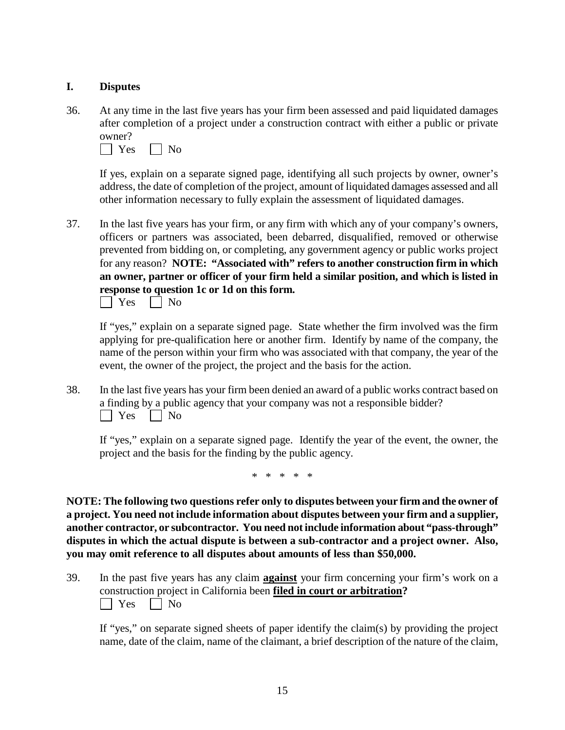#### **I. Disputes**

36. At any time in the last five years has your firm been assessed and paid liquidated damages after completion of a project under a construction contract with either a public or private owner?

 $\Box$  Yes  $\Box$  No

If yes, explain on a separate signed page, identifying all such projects by owner, owner's address, the date of completion of the project, amount of liquidated damages assessed and all other information necessary to fully explain the assessment of liquidated damages.

37. In the last five years has your firm, or any firm with which any of your company's owners, officers or partners was associated, been debarred, disqualified, removed or otherwise prevented from bidding on, or completing, any government agency or public works project for any reason? **NOTE: "Associated with" refers to another construction firm in which an owner, partner or officer of your firm held a similar position, and which is listed in response to question 1c or 1d on this form.**



If "yes," explain on a separate signed page. State whether the firm involved was the firm applying for pre-qualification here or another firm. Identify by name of the company, the name of the person within your firm who was associated with that company, the year of the event, the owner of the project, the project and the basis for the action.

38. In the last five years has your firm been denied an award of a public works contract based on a finding by a public agency that your company was not a responsible bidder?  $\Box$  Yes  $\Box$  No

If "yes," explain on a separate signed page. Identify the year of the event, the owner, the project and the basis for the finding by the public agency.

\* \* \* \* \*

**NOTE: The following two questions refer only to disputes between your firm and the owner of a project. You need not include information about disputes between your firm and a supplier, another contractor, or subcontractor. You need not include information about "pass-through" disputes in which the actual dispute is between a sub-contractor and a project owner. Also, you may omit reference to all disputes about amounts of less than \$50,000.**

39. In the past five years has any claim **against** your firm concerning your firm's work on a construction project in California been **filed in court or arbitration?**  $\Box$  Yes  $\Box$  No

If "yes," on separate signed sheets of paper identify the claim(s) by providing the project name, date of the claim, name of the claimant, a brief description of the nature of the claim,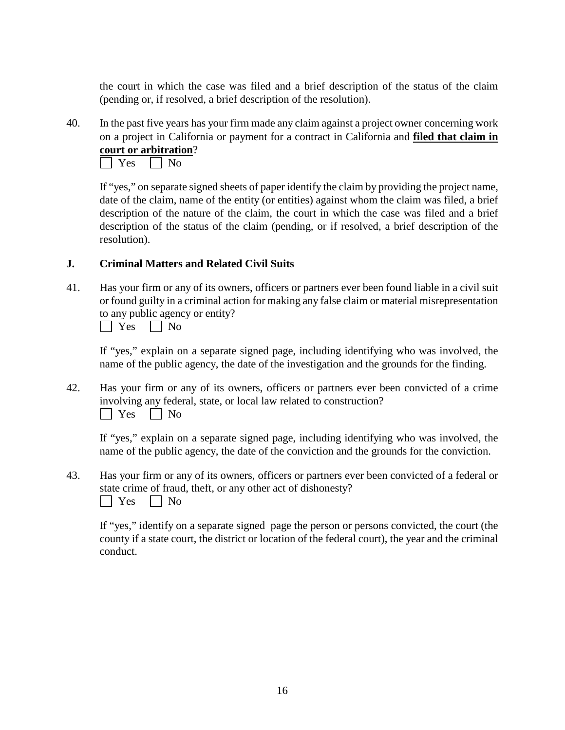the court in which the case was filed and a brief description of the status of the claim (pending or, if resolved, a brief description of the resolution).

40. In the past five years has your firm made any claim against a project owner concerning work on a project in California or payment for a contract in California and **filed that claim in court or arbitration**?



If "yes," on separate signed sheets of paper identify the claim by providing the project name, date of the claim, name of the entity (or entities) against whom the claim was filed, a brief description of the nature of the claim, the court in which the case was filed and a brief description of the status of the claim (pending, or if resolved, a brief description of the resolution).

# **J. Criminal Matters and Related Civil Suits**

41. Has your firm or any of its owners, officers or partners ever been found liable in a civil suit or found guilty in a criminal action for making any false claim or material misrepresentation to any public agency or entity?

| $\overline{ }$<br>- 1 |  |  |
|-----------------------|--|--|
|-----------------------|--|--|

If "yes," explain on a separate signed page, including identifying who was involved, the name of the public agency, the date of the investigation and the grounds for the finding.

42. Has your firm or any of its owners, officers or partners ever been convicted of a crime involving any federal, state, or local law related to construction?  $\Box$  Yes  $\Box$  No

If "yes," explain on a separate signed page, including identifying who was involved, the name of the public agency, the date of the conviction and the grounds for the conviction.

43. Has your firm or any of its owners, officers or partners ever been convicted of a federal or state crime of fraud, theft, or any other act of dishonesty?  $\Box$  Yes  $\Box$  No

If "yes," identify on a separate signed page the person or persons convicted, the court (the county if a state court, the district or location of the federal court), the year and the criminal conduct.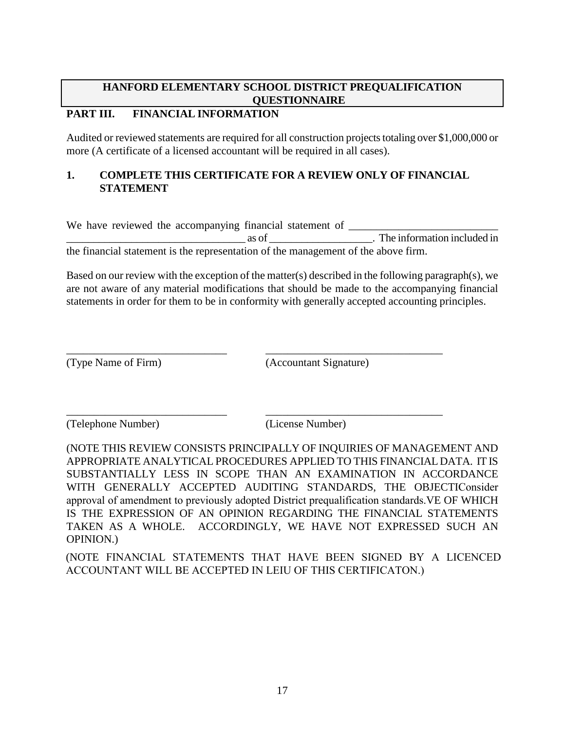# **PART III. FINANCIAL INFORMATION**

Audited or reviewed statements are required for all construction projects totaling over \$1,000,000 or more (A certificate of a licensed accountant will be required in all cases).

#### **1. COMPLETE THIS CERTIFICATE FOR A REVIEW ONLY OF FINANCIAL STATEMENT**

We have reviewed the accompanying financial statement of \_\_\_\_\_\_\_\_\_\_\_\_\_\_\_\_\_\_\_\_\_\_\_

\_\_\_\_\_\_\_\_\_\_\_\_\_\_\_\_\_\_\_\_\_\_\_\_\_\_\_\_\_\_\_\_\_ as of \_\_\_\_\_\_\_\_\_\_\_\_\_\_\_\_\_\_\_. The information included in the financial statement is the representation of the management of the above firm.

Based on our review with the exception of the matter(s) described in the following paragraph(s), we are not aware of any material modifications that should be made to the accompanying financial statements in order for them to be in conformity with generally accepted accounting principles.

\_\_\_\_\_\_\_\_\_\_\_\_\_\_\_\_\_\_\_\_\_\_\_\_\_\_\_\_\_ \_\_\_\_\_\_\_\_\_\_\_\_\_\_\_\_\_\_\_\_\_\_\_\_\_\_\_\_\_\_\_\_

\_\_\_\_\_\_\_\_\_\_\_\_\_\_\_\_\_\_\_\_\_\_\_\_\_\_\_\_\_ \_\_\_\_\_\_\_\_\_\_\_\_\_\_\_\_\_\_\_\_\_\_\_\_\_\_\_\_\_\_\_\_

(Type Name of Firm) (Accountant Signature)

(Telephone Number) (License Number)

(NOTE THIS REVIEW CONSISTS PRINCIPALLY OF INQUIRIES OF MANAGEMENT AND APPROPRIATE ANALYTICAL PROCEDURES APPLIED TO THIS FINANCIAL DATA. IT IS SUBSTANTIALLY LESS IN SCOPE THAN AN EXAMINATION IN ACCORDANCE WITH GENERALLY ACCEPTED AUDITING STANDARDS, THE OBJECTIConsider approval of amendment to previously adopted District prequalification standards.VE OF WHICH IS THE EXPRESSION OF AN OPINION REGARDING THE FINANCIAL STATEMENTS TAKEN AS A WHOLE. ACCORDINGLY, WE HAVE NOT EXPRESSED SUCH AN OPINION.)

(NOTE FINANCIAL STATEMENTS THAT HAVE BEEN SIGNED BY A LICENCED ACCOUNTANT WILL BE ACCEPTED IN LEIU OF THIS CERTIFICATON.)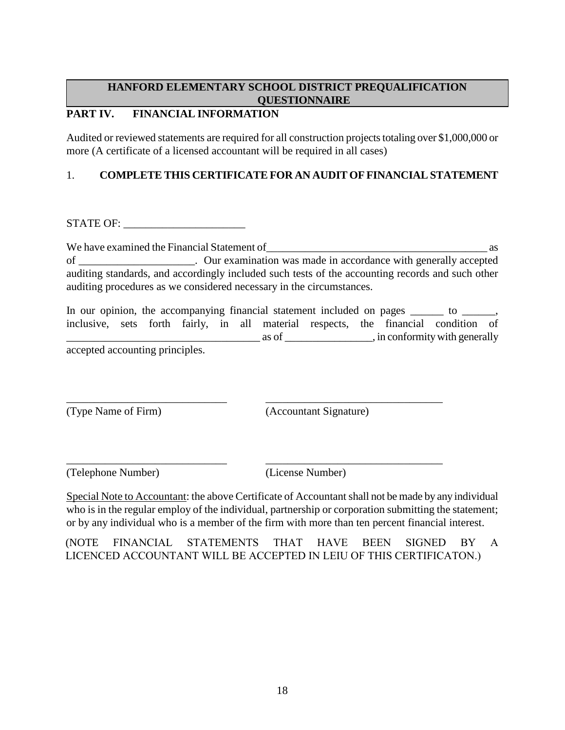# **PART IV. FINANCIAL INFORMATION**

Audited or reviewed statements are required for all construction projects totaling over \$1,000,000 or more (A certificate of a licensed accountant will be required in all cases)

# 1. **COMPLETE THIS CERTIFICATE FOR AN AUDIT OF FINANCIAL STATEMENT**

STATE OF:

We have examined the Financial Statement of  $\Box$ of \_\_\_\_\_\_\_\_\_\_\_\_\_\_\_\_\_\_\_\_\_. Our examination was made in accordance with generally accepted auditing standards, and accordingly included such tests of the accounting records and such other auditing procedures as we considered necessary in the circumstances.

In our opinion, the accompanying financial statement included on pages \_\_\_\_\_\_\_ to \_\_\_\_\_\_, inclusive, sets forth fairly, in all material respects, the financial condition of \_\_\_\_\_\_\_\_\_\_\_\_\_\_\_\_\_\_\_\_\_\_\_\_\_\_\_\_\_\_\_\_\_\_\_ as of \_\_\_\_\_\_\_\_\_\_\_\_\_\_\_\_, in conformity with generally accepted accounting principles.

\_\_\_\_\_\_\_\_\_\_\_\_\_\_\_\_\_\_\_\_\_\_\_\_\_\_\_\_\_ \_\_\_\_\_\_\_\_\_\_\_\_\_\_\_\_\_\_\_\_\_\_\_\_\_\_\_\_\_\_\_\_

\_\_\_\_\_\_\_\_\_\_\_\_\_\_\_\_\_\_\_\_\_\_\_\_\_\_\_\_\_ \_\_\_\_\_\_\_\_\_\_\_\_\_\_\_\_\_\_\_\_\_\_\_\_\_\_\_\_\_\_\_\_

(Type Name of Firm) (Accountant Signature)

(Telephone Number) (License Number)

Special Note to Accountant: the above Certificate of Accountant shall not be made by any individual who is in the regular employ of the individual, partnership or corporation submitting the statement; or by any individual who is a member of the firm with more than ten percent financial interest.

(NOTE FINANCIAL STATEMENTS THAT HAVE BEEN SIGNED BY A LICENCED ACCOUNTANT WILL BE ACCEPTED IN LEIU OF THIS CERTIFICATON.)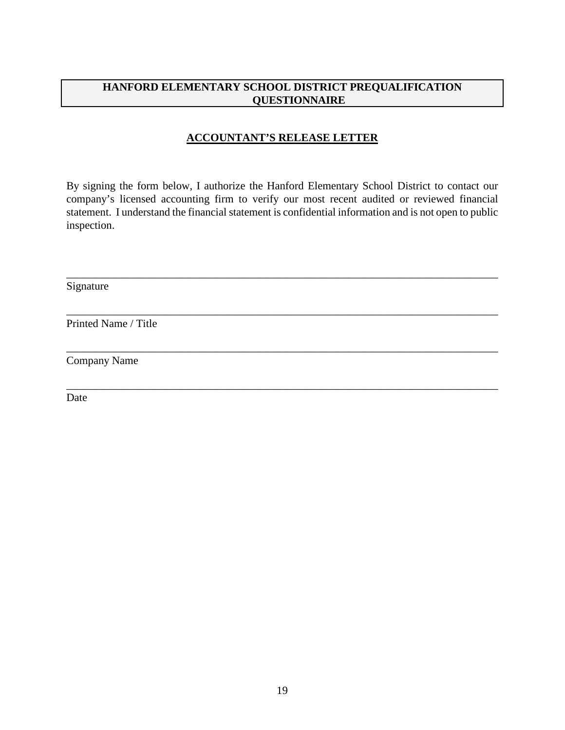# **ACCOUNTANT'S RELEASE LETTER**

By signing the form below, I authorize the Hanford Elementary School District to contact our company's licensed accounting firm to verify our most recent audited or reviewed financial statement. I understand the financial statement is confidential information and is not open to public inspection.

\_\_\_\_\_\_\_\_\_\_\_\_\_\_\_\_\_\_\_\_\_\_\_\_\_\_\_\_\_\_\_\_\_\_\_\_\_\_\_\_\_\_\_\_\_\_\_\_\_\_\_\_\_\_\_\_\_\_\_\_\_\_\_\_\_\_\_\_\_\_\_\_\_\_\_\_\_\_

\_\_\_\_\_\_\_\_\_\_\_\_\_\_\_\_\_\_\_\_\_\_\_\_\_\_\_\_\_\_\_\_\_\_\_\_\_\_\_\_\_\_\_\_\_\_\_\_\_\_\_\_\_\_\_\_\_\_\_\_\_\_\_\_\_\_\_\_\_\_\_\_\_\_\_\_\_\_

\_\_\_\_\_\_\_\_\_\_\_\_\_\_\_\_\_\_\_\_\_\_\_\_\_\_\_\_\_\_\_\_\_\_\_\_\_\_\_\_\_\_\_\_\_\_\_\_\_\_\_\_\_\_\_\_\_\_\_\_\_\_\_\_\_\_\_\_\_\_\_\_\_\_\_\_\_\_

\_\_\_\_\_\_\_\_\_\_\_\_\_\_\_\_\_\_\_\_\_\_\_\_\_\_\_\_\_\_\_\_\_\_\_\_\_\_\_\_\_\_\_\_\_\_\_\_\_\_\_\_\_\_\_\_\_\_\_\_\_\_\_\_\_\_\_\_\_\_\_\_\_\_\_\_\_\_

Signature

Printed Name / Title

Company Name

Date